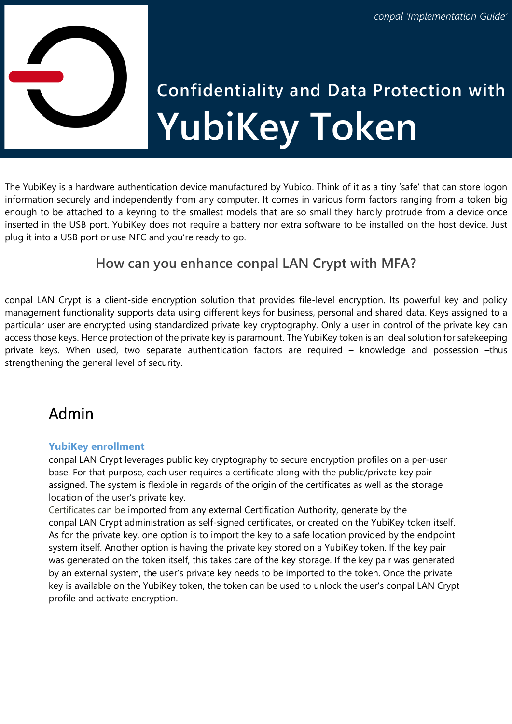

# **Confidentiality and Data Protection with YubiKey Token**

The YubiKey is a hardware authentication device manufactured by Yubico. Think of it as a tiny 'safe' that can store logon information securely and independently from any computer. It comes in various form factors ranging from a token big enough to be attached to a keyring to the smallest models that are so small they hardly protrude from a device once inserted in the USB port. YubiKey does not require a battery nor extra software to be installed on the host device. Just plug it into a USB port or use NFC and you're ready to go.

## **How can you enhance conpal LAN Crypt with MFA?**

conpal LAN Crypt is a client-side encryption solution that provides file-level encryption. Its powerful key and policy management functionality supports data using different keys for business, personal and shared data. Keys assigned to a particular user are encrypted using standardized private key cryptography. Only a user in control of the private key can access those keys. Hence protection of the private key is paramount. The YubiKey token is an ideal solution for safekeeping private keys. When used, two separate authentication factors are required – knowledge and possession –thus strengthening the general level of security.

# Admin

#### **YubiKey enrollment**

conpal LAN Crypt leverages public key cryptography to secure encryption profiles on a per-user base. For that purpose, each user requires a certificate along with the public/private key pair assigned. The system is flexible in regards of the origin of the certificates as well as the storage location of the user's private key.

Certificates can be imported from any external Certification Authority, generate by the conpal LAN Crypt administration as self-signed certificates, or created on the YubiKey token itself. As for the private key, one option is to import the key to a safe location provided by the endpoint system itself. Another option is having the private key stored on a YubiKey token. If the key pair was generated on the token itself, this takes care of the key storage. If the key pair was generated by an external system, the user's private key needs to be imported to the token. Once the private key is available on the YubiKey token, the token can be used to unlock the user's conpal LAN Crypt profile and activate encryption.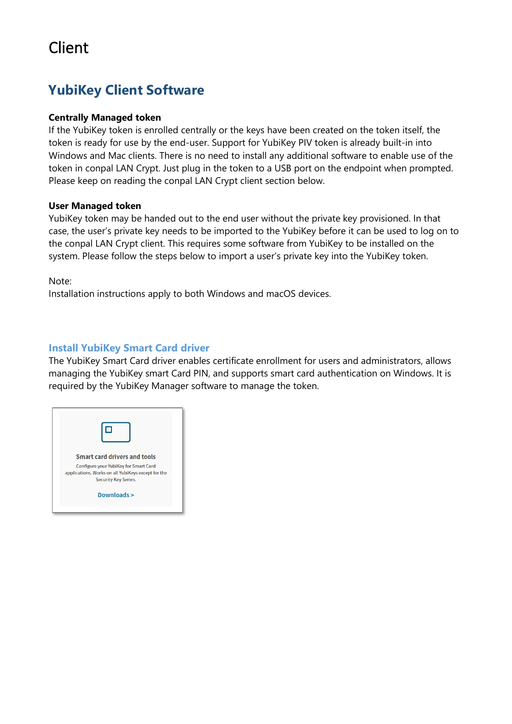# Client

## **YubiKey Client Software**

#### **Centrally Managed token**

If the YubiKey token is enrolled centrally or the keys have been created on the token itself, the token is ready for use by the end-user. Support for YubiKey PIV token is already built-in into Windows and Mac clients. There is no need to install any additional software to enable use of the token in conpal LAN Crypt. Just plug in the token to a USB port on the endpoint when prompted. Please keep on reading the [conpal LAN Crypt client](#page-4-0) section below.

#### **User Managed token**

YubiKey token may be handed out to the end user without the private key provisioned. In that case, the user's private key needs to be imported to the YubiKey before it can be used to log on to the conpal LAN Crypt client. This requires some software from YubiKey to be installed on the system. Please follow the steps below to import a user's private key into the YubiKey token.

Note:

Installation instructions apply to both Windows and macOS devices.

#### **Install YubiKey Smart Card driver**

The YubiKey Smart Card driver enables certificate enrollment for users and administrators, allows managing the YubiKey smart Card PIN, and supports smart card authentication on Windows. It is required by the YubiKey Manager software to manage the token.

| Smart card drivers and tools                                                                                               |  |
|----------------------------------------------------------------------------------------------------------------------------|--|
| Configure your YubiKey for Smart Card<br>applications. Works on all YubiKeys except for the<br><b>Security Key Series.</b> |  |
| Downloads >                                                                                                                |  |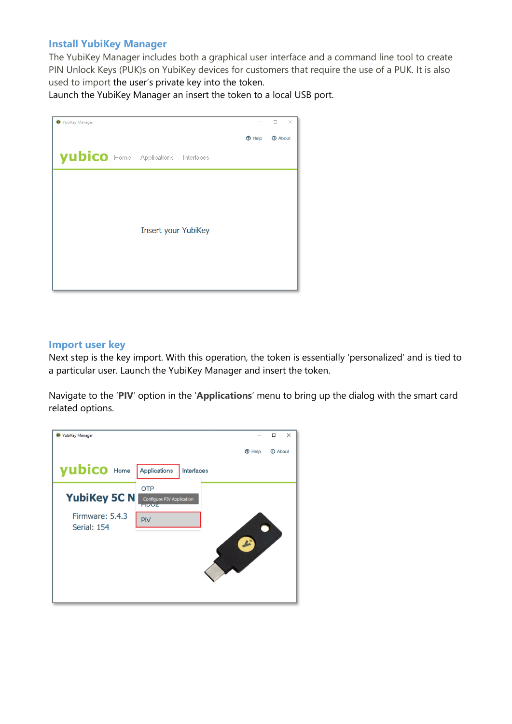#### **Install YubiKey Manager**

The YubiKey Manager includes both a graphical user interface and a command line tool to create PIN Unlock Keys (PUK)s on YubiKey devices for customers that require the use of a PUK. It is also used to import the user's private key into the token.

Launch the YubiKey Manager an insert the token to a local USB port.

| VubiKey Manager                     |                            |               | $\times$<br>□         |
|-------------------------------------|----------------------------|---------------|-----------------------|
|                                     |                            | <b>O</b> Help | <b><i>O</i></b> About |
| yubico Home Applications Interfaces |                            |               |                       |
|                                     |                            |               |                       |
|                                     |                            |               |                       |
|                                     | <b>Insert your YubiKey</b> |               |                       |
|                                     |                            |               |                       |
|                                     |                            |               |                       |
|                                     |                            |               |                       |

#### **Import user key**

Next step is the key import. With this operation, the token is essentially 'personalized' and is tied to a particular user. Launch the YubiKey Manager and insert the token.

Navigate to the '**PIV**' option in the '**Applications**' menu to bring up the dialog with the smart card related options.

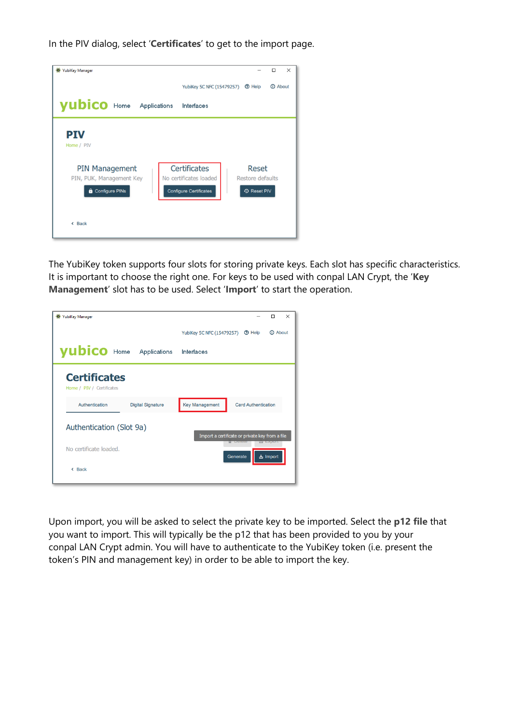In the PIV dialog, select '**Certificates**' to get to the import page.

| <b>YubiKey Manager</b><br>$\bullet$                                 | □<br>$\times$                                                                                                                     |
|---------------------------------------------------------------------|-----------------------------------------------------------------------------------------------------------------------------------|
|                                                                     | <b><i>O</i></b> About<br>YubiKey 5C NFC (15479257)<br><b>2</b> Help                                                               |
| yubico Home Applications                                            | Interfaces                                                                                                                        |
| <b>PIV</b><br>Home / PIV                                            |                                                                                                                                   |
| <b>PIN Management</b><br>PIN, PUK, Management Key<br>Configure PINs | <b>Certificates</b><br>Reset<br>No certificates loaded<br>Restore defaults<br><b>Configure Certificates</b><br><b>4</b> Reset PIV |
| < Back                                                              |                                                                                                                                   |

The YubiKey token supports four slots for storing private keys. Each slot has specific characteristics. It is important to choose the right one. For keys to be used with conpal LAN Crypt, the '**Key Management**' slot has to be used. Select '**Import**' to start the operation.

| <sup>O</sup> YubiKey Manager                     | $\times$<br>п                                                       |
|--------------------------------------------------|---------------------------------------------------------------------|
|                                                  | <b>1</b> About<br>YubiKey 5C NFC (15479257)<br><b>2</b> Help        |
| <b>yubico</b> Home Applications                  | Interfaces                                                          |
| <b>Certificates</b><br>Home / PIV / Certificates |                                                                     |
| Authentication<br><b>Digital Signature</b>       | <b>Key Management</b><br><b>Card Authentication</b>                 |
| Authentication (Slot 9a)                         | Import a certificate or private key from a file<br><b>LI EXPORT</b> |
| No certificate loaded.                           | <b>ப்</b> Import<br>Generate                                        |
| $\leftarrow$ Back                                |                                                                     |
|                                                  |                                                                     |

Upon import, you will be asked to select the private key to be imported. Select the **p12 file** that you want to import. This will typically be the p12 that has been provided to you by your conpal LAN Crypt admin. You will have to authenticate to the YubiKey token (i.e. present the token's PIN and management key) in order to be able to import the key.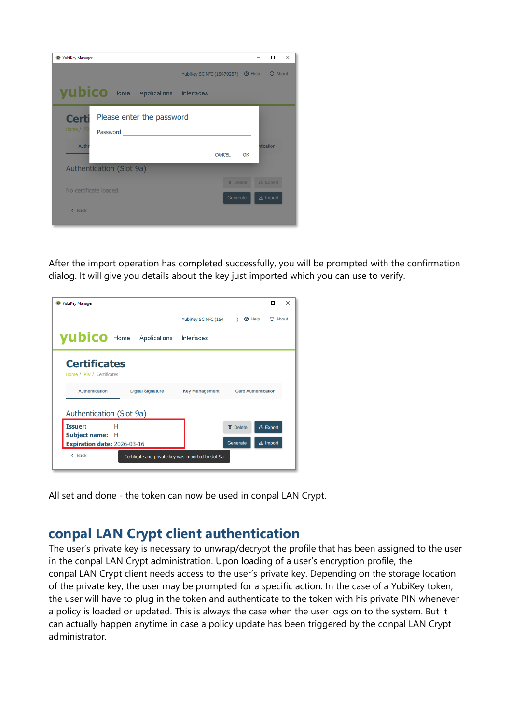

After the import operation has completed successfully, you will be prompted with the confirmation dialog. It will give you details about the key just imported which you can use to verify.

| <sup>O</sup> YubiKey Manager                     |                                                     |                       |                 | $\times$<br>П              |
|--------------------------------------------------|-----------------------------------------------------|-----------------------|-----------------|----------------------------|
|                                                  |                                                     | YubiKey 5C NFC (154   | ි Help          | <b>CD</b> About            |
| <b>yubico</b> Home Applications                  |                                                     | Interfaces            |                 |                            |
| <b>Certificates</b><br>Home / PIV / Certificates |                                                     |                       |                 |                            |
| Authentication                                   | <b>Digital Signature</b>                            | <b>Key Management</b> |                 | <b>Card Authentication</b> |
| Authentication (Slot 9a)                         |                                                     |                       |                 |                            |
| <b>Issuer:</b><br>н<br>Subject name: H           |                                                     |                       | <b>面</b> Delete | <b>① Export</b>            |
| Expiration date: 2026-03-16                      |                                                     |                       | Generate        | ப் Import                  |
| $\triangle$ Back                                 | Certificate and private key was imported to slot 9a |                       |                 |                            |

<span id="page-4-0"></span>All set and done - the token can now be used in conpal LAN Crypt.

## **conpal LAN Crypt client authentication**

The user's private key is necessary to unwrap/decrypt the profile that has been assigned to the user in the conpal LAN Crypt administration. Upon loading of a user's encryption profile, the conpal LAN Crypt client needs access to the user's private key. Depending on the storage location of the private key, the user may be prompted for a specific action. In the case of a YubiKey token, the user will have to plug in the token and authenticate to the token with his private PIN whenever a policy is loaded or updated. This is always the case when the user logs on to the system. But it can actually happen anytime in case a policy update has been triggered by the conpal LAN Crypt administrator.